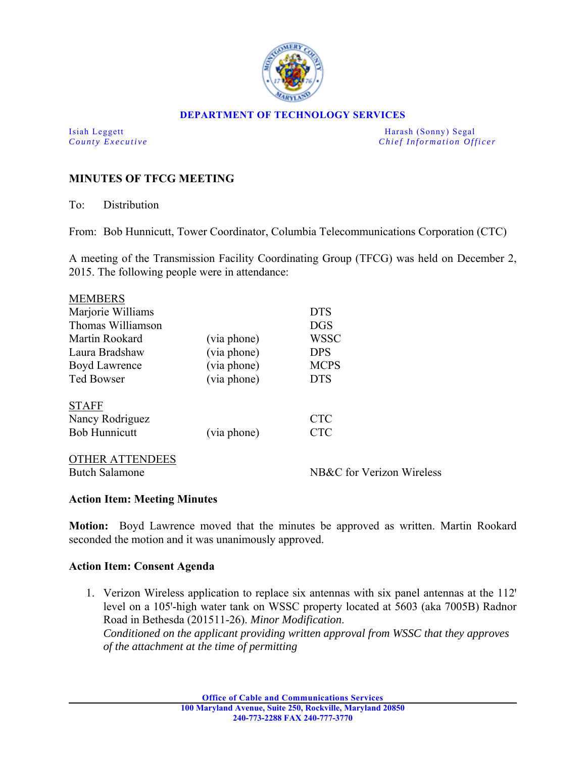

#### **DEPARTMENT OF TECHNOLOGY SERVICES**

Isiah Leggett Harash (Sonny) Segal *County Executive* **Countries and** *Chief Information Officer Chief Information Officer* 

# **MINUTES OF TFCG MEETING**

To: Distribution

From: Bob Hunnicutt, Tower Coordinator, Columbia Telecommunications Corporation (CTC)

A meeting of the Transmission Facility Coordinating Group (TFCG) was held on December 2, 2015. The following people were in attendance:

| <b>MEMBERS</b>         |             |                           |
|------------------------|-------------|---------------------------|
| Marjorie Williams      |             | <b>DTS</b>                |
| Thomas Williamson      |             | <b>DGS</b>                |
| Martin Rookard         | (via phone) | WSSC                      |
| Laura Bradshaw         | (via phone) | <b>DPS</b>                |
| Boyd Lawrence          | (via phone) | <b>MCPS</b>               |
| <b>Ted Bowser</b>      | (via phone) | <b>DTS</b>                |
|                        |             |                           |
| <b>STAFF</b>           |             |                           |
| Nancy Rodriguez        |             | <b>CTC</b>                |
| <b>Bob Hunnicutt</b>   | (via phone) | <b>CTC</b>                |
|                        |             |                           |
| <b>OTHER ATTENDEES</b> |             |                           |
| <b>Butch Salamone</b>  |             | NB&C for Verizon Wireless |
|                        |             |                           |

### **Action Item: Meeting Minutes**

**Motion:** Boyd Lawrence moved that the minutes be approved as written. Martin Rookard seconded the motion and it was unanimously approved.

### **Action Item: Consent Agenda**

1. Verizon Wireless application to replace six antennas with six panel antennas at the 112<sup>'</sup> level on a 105'-high water tank on WSSC property located at 5603 (aka 7005B) Radnor Road in Bethesda (201511-26). *Minor Modification*. *Conditioned on the applicant providing written approval from WSSC that they approves of the attachment at the time of permitting*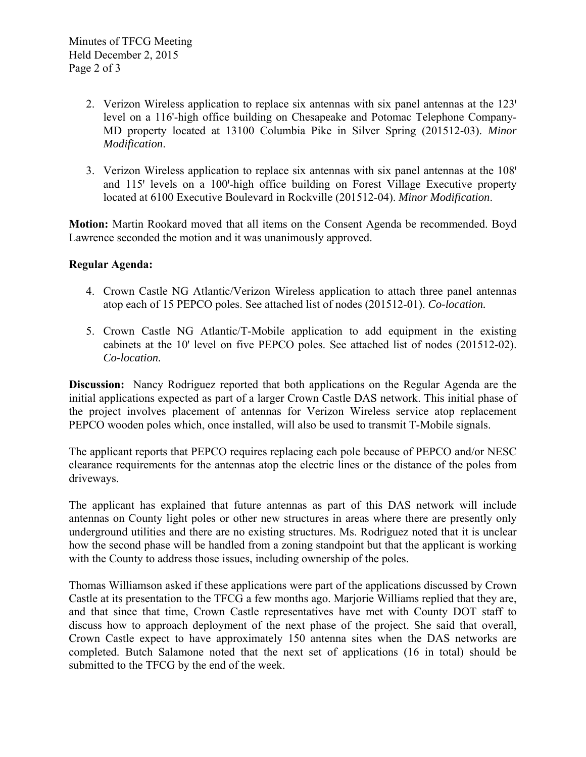- 2. Verizon Wireless application to replace six antennas with six panel antennas at the 123 level on a 116-high office building on Chesapeake and Potomac Telephone Company-MD property located at 13100 Columbia Pike in Silver Spring (201512-03). *Minor Modification*.
- 3. Verizon Wireless application to replace six antennas with six panel antennas at the 108' and 115<sup>'</sup> levels on a 100'-high office building on Forest Village Executive property located at 6100 Executive Boulevard in Rockville (201512-04). *Minor Modification*.

**Motion:** Martin Rookard moved that all items on the Consent Agenda be recommended. Boyd Lawrence seconded the motion and it was unanimously approved.

## **Regular Agenda:**

- 4. Crown Castle NG Atlantic/Verizon Wireless application to attach three panel antennas atop each of 15 PEPCO poles. See attached list of nodes (201512-01). *Co-location.*
- 5. Crown Castle NG Atlantic/T-Mobile application to add equipment in the existing cabinets at the 10' level on five PEPCO poles. See attached list of nodes (201512-02). *Co-location.*

**Discussion:** Nancy Rodriguez reported that both applications on the Regular Agenda are the initial applications expected as part of a larger Crown Castle DAS network. This initial phase of the project involves placement of antennas for Verizon Wireless service atop replacement PEPCO wooden poles which, once installed, will also be used to transmit T-Mobile signals.

The applicant reports that PEPCO requires replacing each pole because of PEPCO and/or NESC clearance requirements for the antennas atop the electric lines or the distance of the poles from driveways.

The applicant has explained that future antennas as part of this DAS network will include antennas on County light poles or other new structures in areas where there are presently only underground utilities and there are no existing structures. Ms. Rodriguez noted that it is unclear how the second phase will be handled from a zoning standpoint but that the applicant is working with the County to address those issues, including ownership of the poles.

Thomas Williamson asked if these applications were part of the applications discussed by Crown Castle at its presentation to the TFCG a few months ago. Marjorie Williams replied that they are, and that since that time, Crown Castle representatives have met with County DOT staff to discuss how to approach deployment of the next phase of the project. She said that overall, Crown Castle expect to have approximately 150 antenna sites when the DAS networks are completed. Butch Salamone noted that the next set of applications (16 in total) should be submitted to the TFCG by the end of the week.